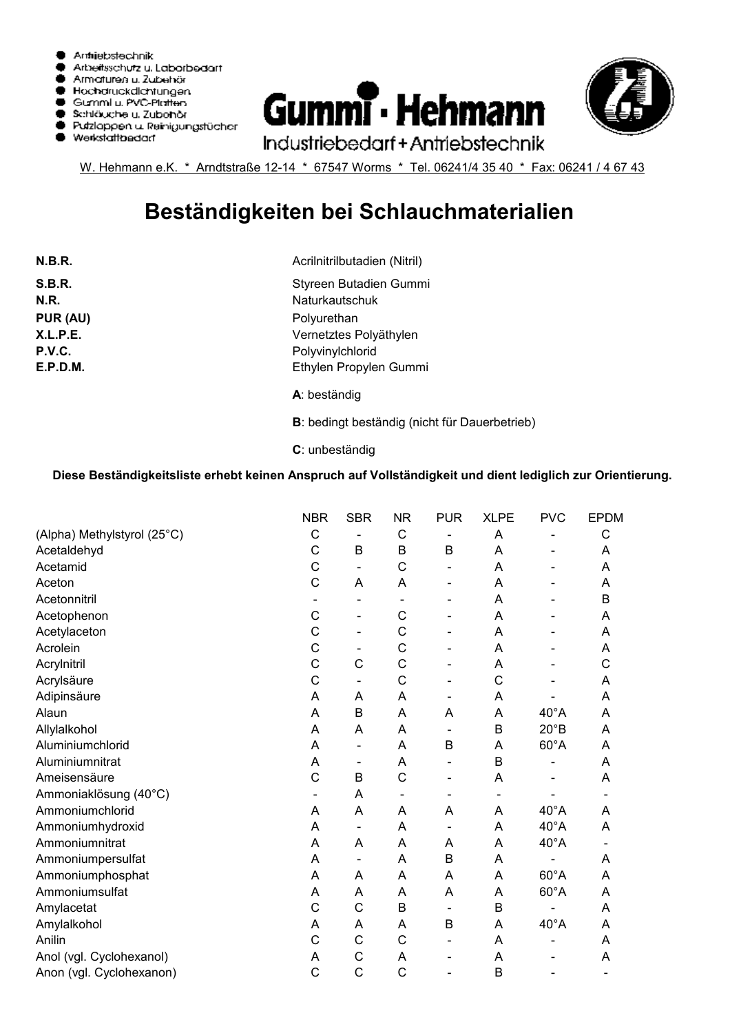





W. Hehmann e.K. \* Arndtstraße 12-14 \* 67547 Worms \* Tel. 06241/4 35 40 \* Fax: 06241 / 4 67 43

## **Beständigkeiten bei Schlauchmaterialien**

| N.B.R.   |
|----------|
| S.B.R.   |
| N.R.     |
| PUR (AU) |
| X.L.P.E. |
| P.V.C.   |
| E.P.D.M. |
|          |

**N.R.** Naturkautschuk Acrilnitrilbutadien (Nitril) Styreen Butadien Gummi Polyurethan Vernetztes Polyäthylen Polyvinylchlorid Ethylen Propylen Gummi

**A**: beständig

**B**: bedingt beständig (nicht für Dauerbetrieb)

**C**: unbeständig

## **Diese Beständigkeitsliste erhebt keinen Anspruch auf Vollständigkeit und dient lediglich zur Orientierung.**

|                             | <b>NBR</b> | <b>SBR</b>                   | <b>NR</b>    | <b>PUR</b>                   | <b>XLPE</b> | <b>PVC</b>     | <b>EPDM</b>                  |
|-----------------------------|------------|------------------------------|--------------|------------------------------|-------------|----------------|------------------------------|
| (Alpha) Methylstyrol (25°C) | C          | $\qquad \qquad \blacksquare$ | $\mathsf C$  | $\qquad \qquad \blacksquare$ | A           | -              | C                            |
| Acetaldehyd                 | C          | B                            | B            | B                            | Α           | -              | A                            |
| Acetamid                    | C          | $\overline{\phantom{a}}$     | C            |                              | A           | $\overline{a}$ | A                            |
| Aceton                      | C          | A                            | A            | $\overline{\phantom{a}}$     | A           |                | A                            |
| Acetonnitril                |            | $\overline{a}$               |              | $\qquad \qquad \blacksquare$ | A           |                | $\mathsf B$                  |
| Acetophenon                 | C          | $\overline{a}$               | C            |                              | Α           |                | A                            |
| Acetylaceton                | C          | $\overline{\phantom{a}}$     | C            | $\overline{\phantom{a}}$     | A           | -              | A                            |
| Acrolein                    | C          | $\qquad \qquad \blacksquare$ | C            | $\blacksquare$               | A           |                | A                            |
| Acrylnitril                 | C          | C                            | C            | $\overline{\phantom{a}}$     | A           | -              | C                            |
| Acrylsäure                  | C          | $\overline{\phantom{a}}$     | C            | $\qquad \qquad \blacksquare$ | C           |                | A                            |
| Adipinsäure                 | A          | A                            | A            | $\overline{\phantom{a}}$     | A           |                | A                            |
| Alaun                       | A          | B                            | A            | A                            | Α           | $40^{\circ}$ A | A                            |
| Allylalkohol                | A          | A                            | A            | $\overline{\phantom{a}}$     | B           | $20^{\circ}B$  | A                            |
| Aluminiumchlorid            | Α          | $\overline{a}$               | A            | B                            | A           | $60^{\circ}$ A | A                            |
| Aluminiumnitrat             | Α          | $\overline{\phantom{a}}$     | A            |                              | B           |                | A                            |
| Ameisensäure                | C          | $\mathsf B$                  | C            | $\overline{\phantom{a}}$     | Α           |                | A                            |
| Ammoniaklösung (40°C)       |            | A                            |              |                              |             |                |                              |
| Ammoniumchlorid             | A          | A                            | A            | A                            | A           | $40^{\circ}$ A | A                            |
| Ammoniumhydroxid            | A          | $\qquad \qquad \blacksquare$ | A            | $\qquad \qquad \blacksquare$ | A           | $40^{\circ}$ A | A                            |
| Ammoniumnitrat              | Α          | A                            | A            | A                            | A           | $40^{\circ}$ A | $\qquad \qquad \blacksquare$ |
| Ammoniumpersulfat           | A          | $\overline{\phantom{a}}$     | A            | B                            | A           |                | A                            |
| Ammoniumphosphat            | Α          | A                            | A            | Α                            | A           | $60^{\circ}$ A | A                            |
| Ammoniumsulfat              | A          | A                            | A            | A                            | Α           | $60^{\circ}$ A | Α                            |
| Amylacetat                  | C          | C                            | B            | $\overline{\phantom{a}}$     | B           |                | A                            |
| Amylalkohol                 | A          | Α                            | A            | $\mathsf B$                  | A           | $40^{\circ}$ A | A                            |
| Anilin                      | C          | $\mathsf{C}$                 | C            | $\overline{\phantom{a}}$     | Α           | -              | A                            |
| Anol (vgl. Cyclohexanol)    | A          | $\mathsf{C}$                 | A            | $\overline{\phantom{a}}$     | A           | -              | A                            |
| Anon (vgl. Cyclohexanon)    | C          | C                            | $\mathsf{C}$ |                              | B           |                |                              |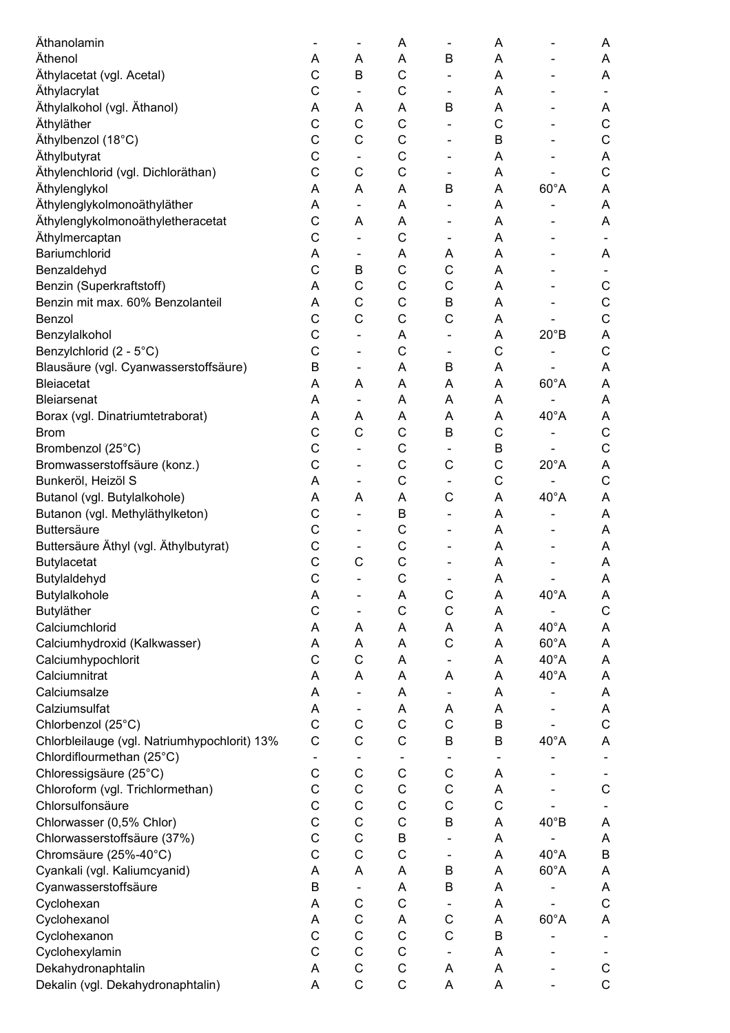| Äthanolamin                                  | $\overline{\phantom{a}}$ | -                            | A            | $\qquad \qquad \blacksquare$ | Α                        |                              | Α                        |
|----------------------------------------------|--------------------------|------------------------------|--------------|------------------------------|--------------------------|------------------------------|--------------------------|
| Äthenol                                      | Α                        | Α                            | A            | B                            | A                        |                              | Α                        |
| Äthylacetat (vgl. Acetal)                    | C                        | B                            | C            |                              | Α                        |                              | A                        |
| Äthylacrylat                                 | C                        | -                            | C            | $\overline{\phantom{a}}$     | A                        |                              | $\overline{\phantom{a}}$ |
| Äthylalkohol (vgl. Äthanol)                  | A                        | A                            | A            | B                            | A                        |                              | A                        |
| Äthyläther                                   | C                        | $\mathsf{C}$                 | $\mathsf{C}$ | $\overline{\phantom{0}}$     | C                        | $\qquad \qquad \blacksquare$ | $\mathsf C$              |
| Äthylbenzol (18°C)                           | C                        | $\mathsf C$                  | $\mathsf{C}$ | -                            | B                        |                              | $\mathsf C$              |
| Äthylbutyrat                                 | C                        | -                            | $\mathsf C$  |                              | A                        |                              | A                        |
| Äthylenchlorid (vgl. Dichloräthan)           | C                        | $\mathsf C$                  | C            | $\qquad \qquad \blacksquare$ | Α                        |                              | $\mathsf C$              |
| Äthylenglykol                                | A                        | A                            | A            | B                            | A                        | $60^{\circ}$ A               | A                        |
| Äthylenglykolmonoäthyläther                  | A                        | $\overline{\phantom{a}}$     | A            | $\qquad \qquad \blacksquare$ | A                        |                              | A                        |
| Äthylenglykolmonoäthyletheracetat            | C                        | A                            | A            | -                            | A                        |                              | A                        |
| Äthylmercaptan                               | C                        |                              | $\mathsf{C}$ | $\qquad \qquad \blacksquare$ | A                        |                              |                          |
| Bariumchlorid                                | A                        | $\overline{\phantom{a}}$     | A            | Α                            | A                        |                              | A                        |
| Benzaldehyd                                  | C                        | B                            | C            | C                            | Α                        |                              |                          |
| Benzin (Superkraftstoff)                     | A                        | C                            | C            | C                            | A                        |                              | $\mathsf C$              |
| Benzin mit max. 60% Benzolanteil             | A                        | $\mathsf C$                  | C            | B                            | A                        |                              | $\mathsf C$              |
| Benzol                                       | C                        | $\mathsf{C}$                 | C            | C                            | A                        |                              | $\mathsf C$              |
| Benzylalkohol                                | C                        | $\overline{\phantom{a}}$     | A            | $\qquad \qquad \blacksquare$ | A                        | $20^{\circ}B$                | A                        |
| Benzylchlorid (2 - 5°C)                      | C                        | $\overline{\phantom{a}}$     | C            | $\qquad \qquad \blacksquare$ | $\mathsf C$              |                              | $\mathsf C$              |
| Blausäure (vgl. Cyanwasserstoffsäure)        | B                        | $\blacksquare$               | A            | B                            | A                        |                              | A                        |
| <b>Bleiacetat</b>                            | A                        | A                            | A            | A                            | A                        | $60^{\circ}$ A               | A                        |
| <b>Bleiarsenat</b>                           | A                        | $\blacksquare$               | A            | A                            | A                        | $\overline{\phantom{a}}$     | A                        |
| Borax (vgl. Dinatriumtetraborat)             | A                        | A                            | A            | A                            | A                        | $40^{\circ}$ A               | A                        |
| <b>Brom</b>                                  | C                        | $\mathsf{C}$                 | C            | $\sf B$                      | C                        |                              | $\mathsf C$              |
| Brombenzol (25°C)                            | C                        | $\overline{\phantom{a}}$     | C            | $\overline{\phantom{a}}$     | B                        |                              | $\mathsf C$              |
| Bromwasserstoffsäure (konz.)                 | C                        |                              | C            | C                            | $\mathsf C$              | $20^{\circ}$ A               | A                        |
| Bunkeröl, Heizöl S                           | A                        | $\overline{\phantom{a}}$     | C            |                              | $\mathsf C$              |                              | $\mathsf C$              |
| Butanol (vgl. Butylalkohole)                 | A                        | A                            | A            | $\mathsf C$                  | A                        | $40^{\circ}$ A               | A                        |
| Butanon (vgl. Methyläthylketon)              | C                        | $\overline{\phantom{a}}$     | B            | $\overline{\phantom{a}}$     | A                        |                              | A                        |
| <b>Buttersäure</b>                           | C                        | $\overline{\phantom{0}}$     | C            | $\overline{a}$               | A                        |                              | Α                        |
| Buttersäure Äthyl (vgl. Äthylbutyrat)        | C                        | $\qquad \qquad \blacksquare$ | C            |                              | Α                        |                              | A                        |
| <b>Butylacetat</b>                           | $\mathsf C$              | $\mathsf{C}$                 | $\mathsf C$  |                              | Α                        |                              | Α                        |
| Butylaldehyd                                 | $\overline{C}$           |                              | $\mathsf{C}$ | $\overline{a}$               | A                        |                              | A                        |
| Butylalkohole                                | A                        | -                            | Α            | C                            | Α                        | $40^{\circ}$ A               | A                        |
| Butyläther                                   | $\mathsf C$              |                              | $\mathsf C$  | $\mathsf C$                  | A                        |                              | $\mathsf C$              |
| Calciumchlorid                               | A                        | Α                            | A            | Α                            | Α                        | $40^{\circ}$ A               | A                        |
| Calciumhydroxid (Kalkwasser)                 | Α                        | Α                            | A            | $\mathsf C$                  | Α                        | $60^{\circ}$ A               | A                        |
| Calciumhypochlorit                           | C                        | $\mathsf{C}$                 | A            | $\qquad \qquad \blacksquare$ | Α                        | $40^{\circ}$ A               | A                        |
| Calciumnitrat                                | Α                        | Α                            | A            | A                            | Α                        | $40^{\circ}$ A               | A                        |
| Calciumsalze                                 | Α                        |                              | A            | $\qquad \qquad \blacksquare$ | A                        |                              | Α                        |
| Calziumsulfat                                | A                        |                              | A            | A                            | A                        |                              | A                        |
| Chlorbenzol (25°C)                           | $\mathsf{C}$             | $\mathsf C$                  | $\mathsf C$  | $\mathsf C$                  | B                        |                              | $\mathsf C$              |
| Chlorbleilauge (vgl. Natriumhypochlorit) 13% | C                        | $\mathsf C$                  | $\mathsf C$  | B                            | B                        | $40^{\circ}$ A               | A                        |
| Chlordiflourmethan (25°C)                    | $\overline{\phantom{a}}$ |                              |              | $\overline{\phantom{a}}$     | $\overline{\phantom{a}}$ |                              |                          |
| Chloressigsäure (25°C)                       | $\mathsf C$              | $\mathsf C$                  | $\mathsf C$  | C                            | Α                        |                              |                          |
| Chloroform (vgl. Trichlormethan)             | $\mathsf C$              | $\mathsf C$                  | $\mathsf C$  | $\mathsf C$                  | A                        |                              | $\mathsf C$              |
| Chlorsulfonsäure                             | $\mathsf{C}$             | $\mathsf C$                  | $\mathsf C$  | $\mathsf C$                  | $\mathsf C$              |                              |                          |
| Chlorwasser (0,5% Chlor)                     | $\mathsf{C}$             | $\mathsf C$                  | $\mathsf C$  | $\sf B$                      | Α                        | $40^{\circ}B$                | A                        |
| Chlorwasserstoffsäure (37%)                  | $\mathsf{C}$             | $\mathsf{C}$                 | B            | $\overline{\phantom{0}}$     | Α                        |                              | Α                        |
| Chromsäure (25%-40°C)                        | C                        | $\mathsf C$                  | C            | $\overline{\phantom{0}}$     | A                        | $40^{\circ}$ A               | $\sf B$                  |
| Cyankali (vgl. Kaliumcyanid)                 | A                        | Α                            | Α            | B                            | Α                        | $60^{\circ}$ A               | A                        |
| Cyanwasserstoffsäure                         | B                        |                              | A            | $\sf B$                      | Α                        |                              | Α                        |
| Cyclohexan                                   | A                        | C                            | $\mathsf C$  |                              | Α                        |                              | $\mathsf C$              |
| Cyclohexanol                                 | A                        | C                            | Α            | C                            | A                        | $60^{\circ}$ A               | Α                        |
| Cyclohexanon                                 | C                        | $\mathsf C$                  | $\mathsf C$  | $\mathsf C$                  | B                        | $\qquad \qquad \blacksquare$ |                          |
| Cyclohexylamin                               | $\mathsf{C}$             | $\mathsf{C}$                 | $\mathsf{C}$ | $\qquad \qquad \blacksquare$ | Α                        |                              |                          |
| Dekahydronaphtalin                           | Α                        | $\mathsf C$                  | $\mathsf C$  | Α                            | A                        |                              | $\mathsf C$              |
| Dekalin (vgl. Dekahydronaphtalin)            | A                        | $\mathsf C$                  | $\mathsf C$  | Α                            | A                        | $\overline{\phantom{a}}$     | $\mathsf C$              |
|                                              |                          |                              |              |                              |                          |                              |                          |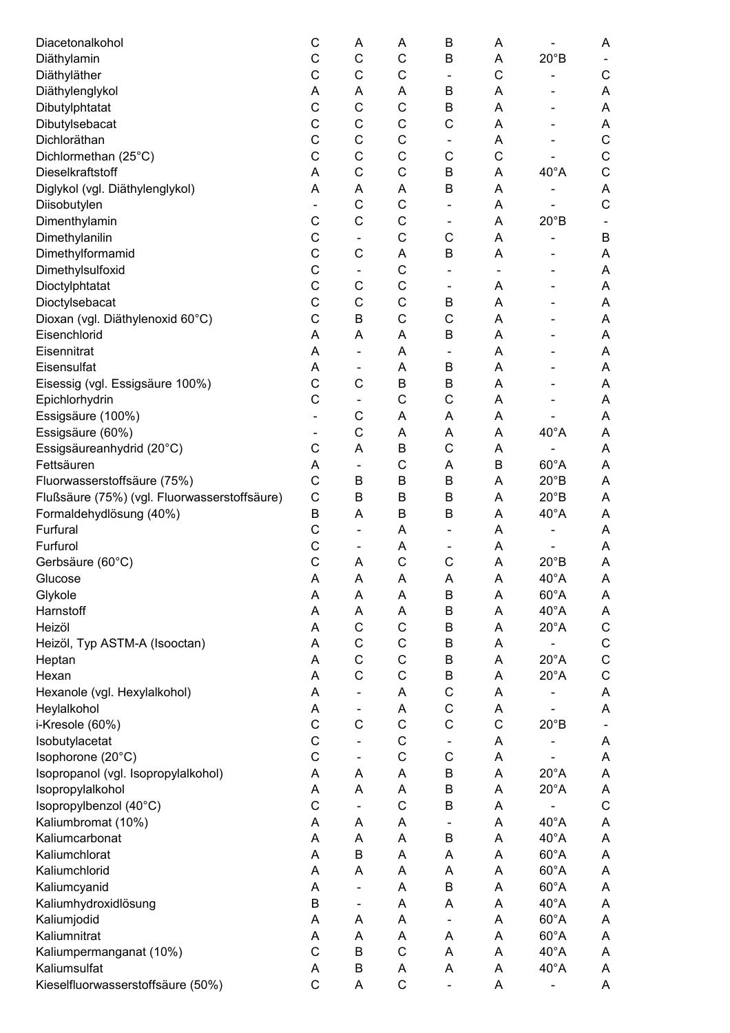| Diacetonalkohol                              | C                        | Α                        | Α            | B                            | Α                            |                              | A           |
|----------------------------------------------|--------------------------|--------------------------|--------------|------------------------------|------------------------------|------------------------------|-------------|
| Diäthylamin                                  | C                        | $\mathsf{C}$             | $\mathsf C$  | B                            | Α                            | $20^{\circ}B$                |             |
| Diäthyläther                                 | C                        | C                        | C            |                              | C                            |                              | C           |
| Diäthylenglykol                              | Α                        | Α                        | Α            | B                            | Α                            |                              | A           |
| Dibutylphtatat                               | $\mathsf{C}$             | $\mathsf{C}$             | $\mathsf C$  | B                            | A                            |                              | A           |
| Dibutylsebacat                               | C                        | $\mathsf{C}$             | $\mathsf C$  | $\mathsf{C}$                 | A                            |                              | Α           |
| Dichloräthan                                 | C                        | $\mathsf{C}$             | $\mathsf C$  | $\overline{\phantom{a}}$     | A                            |                              | C           |
| Dichlormethan (25°C)                         | C                        | $\mathsf{C}$             | C            | C                            | C                            |                              | $\mathsf C$ |
| Dieselkraftstoff                             | Α                        | $\mathsf{C}$             | $\mathsf C$  | B                            | Α                            | $40^{\circ}$ A               | $\mathsf C$ |
| Diglykol (vgl. Diäthylenglykol)              | Α                        | Α                        | Α            | B                            | Α                            |                              | A           |
| Diisobutylen                                 | $\overline{\phantom{a}}$ | $\mathsf{C}$             | $\mathsf C$  | $\overline{\phantom{a}}$     | A                            |                              | $\mathsf C$ |
| Dimenthylamin                                | C                        | $\mathsf{C}$             | $\mathsf C$  | $\overline{\phantom{a}}$     | A                            | $20^{\circ}B$                |             |
| Dimethylanilin                               | $\mathsf C$              |                          | $\mathsf{C}$ | C                            | A                            |                              | B           |
| Dimethylformamid                             | $\mathsf{C}$             | $\mathsf{C}$             | A            | B                            | Α                            |                              | Α           |
| Dimethylsulfoxid                             | $\mathsf{C}$             | $\overline{\phantom{a}}$ | $\mathsf C$  | $\qquad \qquad \blacksquare$ | $\qquad \qquad \blacksquare$ |                              | Α           |
| Dioctylphtatat                               | C                        | $\mathsf{C}$             | $\mathsf{C}$ | $\overline{\phantom{a}}$     | Α                            |                              | Α           |
| Dioctylsebacat                               | $\mathsf C$              | $\mathsf{C}$             | $\mathsf C$  | B                            | A                            |                              | A           |
| Dioxan (vgl. Diäthylenoxid 60°C)             | $\mathsf{C}$             | B                        | C            | C                            | A                            |                              | A           |
| Eisenchlorid                                 | A                        | A                        | A            | B                            | A                            |                              | A           |
| Eisennitrat                                  | A                        | $\overline{\phantom{a}}$ | A            | $\overline{\phantom{a}}$     | A                            |                              | A           |
| Eisensulfat                                  | A                        | $\overline{\phantom{a}}$ | A            | B                            | A                            |                              | Α           |
| Eisessig (vgl. Essigsäure 100%)              | C                        | C                        | B            | B                            | Α                            |                              | A           |
| Epichlorhydrin                               | $\mathsf{C}$             |                          | $\mathsf{C}$ | C                            | Α                            |                              | A           |
| Essigsäure (100%)                            | $\overline{\phantom{a}}$ | C                        | A            | A                            | Α                            |                              | A           |
| Essigsäure (60%)                             | $\overline{\phantom{a}}$ | C                        | A            | A                            | Α                            | $40^{\circ}$ A               | A           |
| Essigsäureanhydrid (20°C)                    | C                        | A                        | B            | C                            | A                            |                              | A           |
| Fettsäuren                                   | A                        | $\overline{\phantom{a}}$ | C            | A                            | B                            | $60^{\circ}$ A               | A           |
| Fluorwasserstoffsäure (75%)                  | $\mathsf{C}$             | B                        | B            | B                            | A                            | $20^{\circ}B$                | A           |
| Flußsäure (75%) (vgl. Fluorwasserstoffsäure) | $\mathsf{C}$             | B                        | B            | B                            | A                            | $20^{\circ}B$                | A           |
| Formaldehydlösung (40%)                      | $\sf B$                  | A                        | B            | B                            | Α                            | $40^{\circ}$ A               | A           |
| Furfural                                     | $\mathsf{C}$             | $\overline{\phantom{a}}$ | A            | $\overline{\phantom{a}}$     | Α                            |                              | Α           |
| Furfurol                                     | C                        | $\overline{\phantom{a}}$ | Α            |                              | Α                            | $\qquad \qquad \blacksquare$ | A           |
| Gerbsäure (60°C)                             | $\mathsf{C}$             | Α                        | $\mathsf{C}$ | C                            | Α                            | $20^{\circ}B$                | A           |
| Glucose                                      | A                        | A                        | A            | A                            | A                            | $40^{\circ}$ A               | A           |
| Glykole                                      | Α                        | Α                        | A            | B                            | Α                            | $60^{\circ}$ A               | Α           |
| Harnstoff                                    | Α                        | Α                        | Α            | B                            | A                            | $40^{\circ}$ A               | Α           |
| Heizöl                                       | Α                        | C                        | C            | B                            | A                            | $20^{\circ}$ A               | $\mathsf C$ |
| Heizöl, Typ ASTM-A (Isooctan)                | A                        | C                        | C            | B                            | Α                            |                              | $\mathsf C$ |
| Heptan                                       | Α                        | C                        | C            | $\mathsf B$                  | Α                            | $20^{\circ}$ A               | $\mathsf C$ |
| Hexan                                        | A                        | $\mathsf{C}$             | $\mathsf C$  | B                            | A                            | $20^{\circ}$ A               | $\mathsf C$ |
| Hexanole (vgl. Hexylalkohol)                 | A                        | $\overline{\phantom{a}}$ | A            | $\mathsf C$                  | A                            |                              | A           |
| Heylalkohol                                  | A                        |                          | A            | $\mathsf C$                  | Α                            |                              | A           |
| i-Kresole (60%)                              | $\mathsf{C}$             | $\mathsf C$              | $\mathsf C$  | $\mathsf{C}$                 | $\mathsf C$                  | $20^{\circ}B$                |             |
| Isobutylacetat                               | $\mathsf{C}$             |                          | C            |                              | Α                            |                              | Α           |
| Isophorone (20°C)                            | C                        | $\blacksquare$           | C            | C                            | Α                            |                              | Α           |
| Isopropanol (vgl. Isopropylalkohol)          | Α                        | A                        | A            | B                            | A                            | $20^{\circ}$ A               | A           |
| Isopropylalkohol                             | A                        | A                        | A            | B                            | A                            | $20^{\circ}$ A               | A           |
| Isopropylbenzol (40°C)                       | C                        |                          | $\mathsf C$  | B                            | Α                            |                              | $\mathsf C$ |
| Kaliumbromat (10%)                           | A                        | Α                        | A            | $\overline{\phantom{0}}$     | Α                            | $40^{\circ}$ A               | A           |
| Kaliumcarbonat                               | Α                        | A                        | A            | B                            | Α                            | $40^{\circ}$ A               | A           |
| Kaliumchlorat                                | Α                        | B                        | Α            | Α                            | Α                            | $60^{\circ}$ A               | A           |
| Kaliumchlorid                                | Α                        | Α                        | A            | Α                            | Α                            | $60^{\circ}$ A               | A           |
| Kaliumcyanid                                 | Α                        |                          | A            | B                            | Α                            | $60^{\circ}$ A               | A           |
| Kaliumhydroxidlösung                         | B                        |                          | A            | A                            | A                            | $40^{\circ}$ A               | A           |
| Kaliumjodid                                  | A                        | Α                        | A            | $\overline{\phantom{a}}$     | A                            | $60^{\circ}$ A               | Α           |
| Kaliumnitrat                                 | Α                        | A                        | Α            | Α                            | Α                            | $60^{\circ}$ A               | A           |
| Kaliumpermanganat (10%)                      | $\mathsf{C}$             | B                        | $\mathsf C$  | Α                            | Α                            | $40^{\circ}$ A               | Α           |
| Kaliumsulfat                                 | Α                        | B                        | Α            | A                            | Α                            | $40^{\circ}$ A               | Α           |
| Kieselfluorwasserstoffsäure (50%)            | $\mathsf{C}$             | A                        | $\mathsf C$  | $\overline{\phantom{a}}$     | A                            | $\qquad \qquad \blacksquare$ | A           |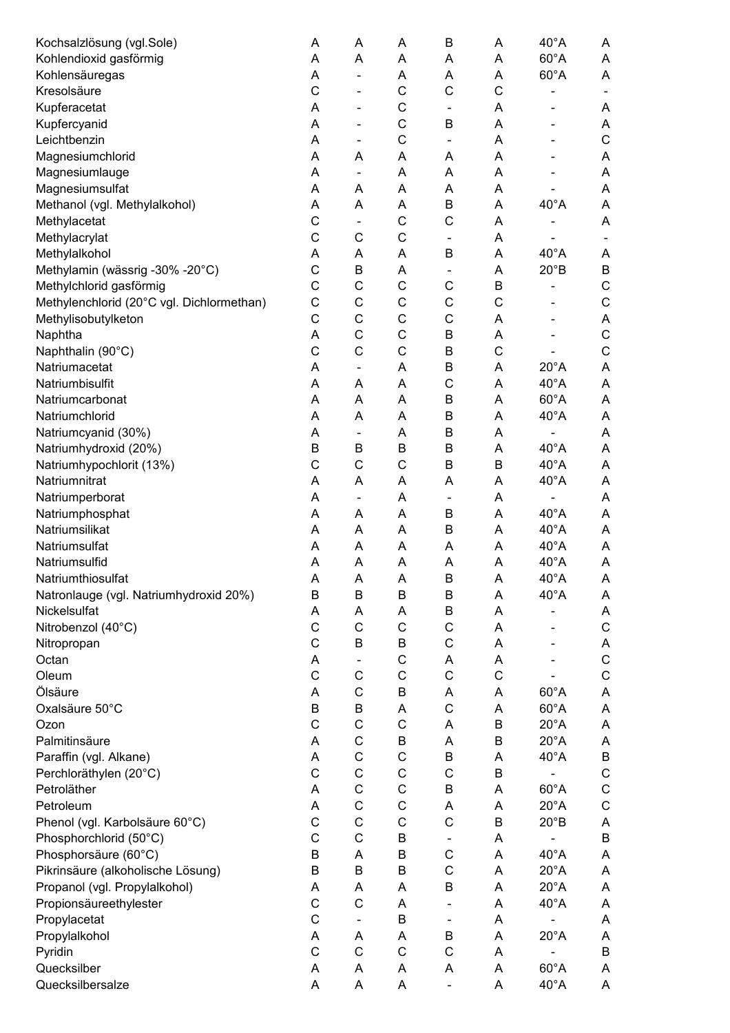| Kochsalzlösung (vgl.Sole)                 | Α                 | Α                        | Α           | $\mathsf B$              | Α           | $40^{\circ}$ A               | Α                |
|-------------------------------------------|-------------------|--------------------------|-------------|--------------------------|-------------|------------------------------|------------------|
| Kohlendioxid gasförmig                    | A                 | A                        | A           | A                        | A           | $60^{\circ}$ A               | A                |
| Kohlensäuregas                            | A                 |                          | A           | A                        | Α           | $60^{\circ}$ A               | Α                |
| Kresolsäure                               | C                 |                          | $\mathsf C$ | $\mathsf{C}$             | C           | $\qquad \qquad \blacksquare$ |                  |
| Kupferacetat                              | Α                 | $\qquad \qquad$          | $\mathsf C$ | $\overline{\phantom{a}}$ | Α           | ۰                            | A                |
| Kupfercyanid                              | A                 | $\overline{\phantom{a}}$ | C           | $\mathsf B$              | Α           |                              | Α                |
| Leichtbenzin                              | A                 | $\overline{\phantom{a}}$ | C           | $\overline{\phantom{a}}$ | Α           |                              | $\mathsf C$      |
| Magnesiumchlorid                          | A                 | A                        | A           | A                        | A           |                              | A                |
| Magnesiumlauge                            | Α                 |                          | A           | A                        | Α           |                              | A                |
| Magnesiumsulfat                           | Α                 | Α                        | A           | A                        | Α           |                              | A                |
| Methanol (vgl. Methylalkohol)             | Α                 | Α                        | A           | B                        | Α           | $40^{\circ}$ A               | A                |
| Methylacetat                              | C                 | $\blacksquare$           | C           | C                        | A           |                              | Α                |
| Methylacrylat                             | $\mathsf{C}$      | C                        | $\mathsf C$ | $\overline{\phantom{a}}$ | A           | $\qquad \qquad \blacksquare$ |                  |
| Methylalkohol                             | Α                 | Α                        | A           | B                        | Α           | $40^{\circ}$ A               | Α                |
| Methylamin (wässrig -30% -20°C)           | $\mathsf{C}$      | B                        | A           | $\overline{\phantom{a}}$ | Α           | $20^{\circ}B$                | B                |
| Methylchlorid gasförmig                   | $\mathsf{C}$      | C                        | $\mathsf C$ | C                        | B           |                              | C                |
| Methylenchlorid (20°C vgl. Dichlormethan) | $\mathsf{C}$      | $\mathsf{C}$             | $\mathsf C$ | C                        | $\mathsf C$ |                              | $\mathsf C$      |
| Methylisobutylketon                       | $\mathsf{C}$      | $\mathsf{C}$             | $\mathsf C$ | C                        | Α           |                              | A                |
| Naphtha                                   | Α                 | $\mathsf{C}$             | $\mathsf C$ | B                        | Α           |                              | $\mathsf C$      |
| Naphthalin (90°C)                         | $\mathsf{C}$      | $\mathsf C$              | $\mathsf C$ | B                        | C           |                              | $\mathsf C$      |
| Natriumacetat                             | A                 |                          | A           | B                        | Α           | $20^{\circ}$ A               | A                |
| Natriumbisulfit                           | Α                 | Α                        | A           | C                        | A           | $40^{\circ}$ A               | A                |
| Natriumcarbonat                           | A                 | A                        | A           | $\mathsf B$              | A           | $60^{\circ}$ A               | A                |
| Natriumchlorid                            | Α                 | Α                        | A           | $\mathsf B$              | Α           | $40^{\circ}$ A               | A                |
| Natriumcyanid (30%)                       | Α                 | $\overline{\phantom{a}}$ | A           | $\mathsf B$              | Α           |                              | A                |
| Natriumhydroxid (20%)                     | B                 | B                        | B           | $\mathsf B$              | A           | $40^{\circ}$ A               | A                |
| Natriumhypochlorit (13%)                  | C                 | C                        | $\mathsf C$ | B                        | B           | $40^{\circ}$ A               | A                |
| Natriumnitrat                             | A                 | A                        | A           | A                        | A           | $40^{\circ}$ A               | A                |
| Natriumperborat                           | Α                 |                          | A           | $\blacksquare$           | Α           |                              | A                |
| Natriumphosphat                           | Α                 | Α                        | A           | B                        | Α           | $40^{\circ}$ A               | A                |
| Natriumsilikat                            | A                 | A                        | A           | B                        | A           | $40^{\circ}$ A               | A                |
| Natriumsulfat                             | A                 | A                        | A           | A                        | A           | $40^{\circ}$ A               | A                |
| Natriumsulfid                             | A                 | A                        | A           | A                        | A           | $40^{\circ}$ A               | A                |
| Natriumthiosulfat                         | A                 | A                        | A           | B                        | Α           | $40^{\circ}$ A               | A                |
| Natronlauge (vgl. Natriumhydroxid 20%)    | B                 | B                        | B           | B                        | Α           | $40^{\circ}$ A               | Α                |
| Nickelsulfat                              | Α                 | Α                        | Α           | B                        | Α           |                              | Α                |
| Nitrobenzol (40°C)                        | $\mathsf{C}$      | $\mathsf C$              | C           | $\mathsf C$              | Α           |                              | C                |
|                                           | $\mathsf{C}$      | B                        | B           | $\mathsf C$              |             |                              |                  |
| Nitropropan                               |                   |                          | $\mathsf C$ |                          | Α           |                              | A<br>$\mathsf C$ |
| Octan<br>Oleum                            | A<br>$\mathsf{C}$ | $\mathsf{C}$             | $\mathsf C$ | Α<br>$\mathsf C$         | Α<br>C      |                              | $\mathsf C$      |
| Ölsäure                                   |                   |                          |             |                          |             |                              |                  |
|                                           | A                 | $\mathsf C$              | B           | Α                        | Α           | $60^{\circ}$ A               | A                |
| Oxalsäure 50°C                            | B                 | B                        | A           | $\mathsf C$              | A           | $60^{\circ}$ A               | A                |
| Ozon                                      | C                 | $\mathsf C$              | C           | Α                        | B           | $20^{\circ}$ A               | A                |
| Palmitinsäure                             | A                 | C                        | B           | Α                        | B           | $20^{\circ}$ A               | A                |
| Paraffin (vgl. Alkane)                    | Α                 | C                        | $\mathsf C$ | B                        | Α           | $40^{\circ}$ A               | B                |
| Perchloräthylen (20°C)                    | $\mathsf{C}$      | $\mathsf C$              | $\mathsf C$ | $\mathsf C$              | B           |                              | $\mathsf C$      |
| Petroläther                               | Α                 | $\mathsf C$              | $\mathsf C$ | B                        | A           | $60^{\circ}$ A               | $\mathsf C$      |
| Petroleum                                 | Α                 | $\mathsf C$              | $\mathsf C$ | Α                        | Α           | $20^{\circ}$ A               | $\mathsf C$      |
| Phenol (vgl. Karbolsäure 60°C)            | $\mathsf C$       | $\mathsf C$              | $\mathsf C$ | $\mathsf C$              | B           | $20^{\circ}B$                | A                |
| Phosphorchlorid (50°C)                    | $\mathsf{C}$      | $\mathsf{C}$             | B           | $\blacksquare$           | Α           |                              | $\sf B$          |
| Phosphorsäure (60°C)                      | B                 | A                        | B           | C                        | Α           | $40^{\circ}$ A               | A                |
| Pikrinsäure (alkoholische Lösung)         | $\sf B$           | B                        | B           | $\mathsf C$              | A           | $20^{\circ}$ A               | A                |
| Propanol (vgl. Propylalkohol)             | Α                 | Α                        | A           | B                        | Α           | $20^{\circ}$ A               | Α                |
| Propionsäureethylester                    | C                 | $\mathsf C$              | A           | $\overline{\phantom{a}}$ | Α           | $40^{\circ}$ A               | A                |
| Propylacetat                              | $\mathsf{C}$      |                          | B           | $\overline{\phantom{a}}$ | Α           |                              | Α                |
| Propylalkohol                             | Α                 | Α                        | Α           | B                        | Α           | $20^{\circ}$ A               | Α                |
| Pyridin                                   | $\mathsf{C}$      | C                        | $\mathsf C$ | C                        | Α           |                              | $\sf B$          |
| Quecksilber                               | Α                 | Α                        | Α           | A                        | Α           | $60^{\circ}$ A               | Α                |
| Quecksilbersalze                          | A                 | Α                        | A           | $\overline{\phantom{a}}$ | Α           | $40^{\circ}$ A               | A                |